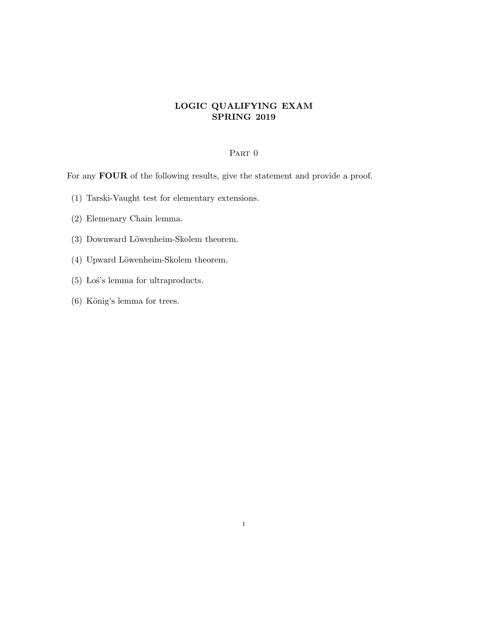## LOGIC QUALIFYING EXAM SPRING 2019

## PART 0

For any **FOUR** of the following results, give the statement and provide a proof.

- (1) Tarski-Vaught test for elementary extensions.
- (2) Elemenary Chain lemma.
- (3) Downward Löwenheim-Skolem theorem.
- (4) Upward Löwenheim-Skolem theorem.
- (5) Los's lemma for ultraproducts.
- $(6)$  König's lemma for trees.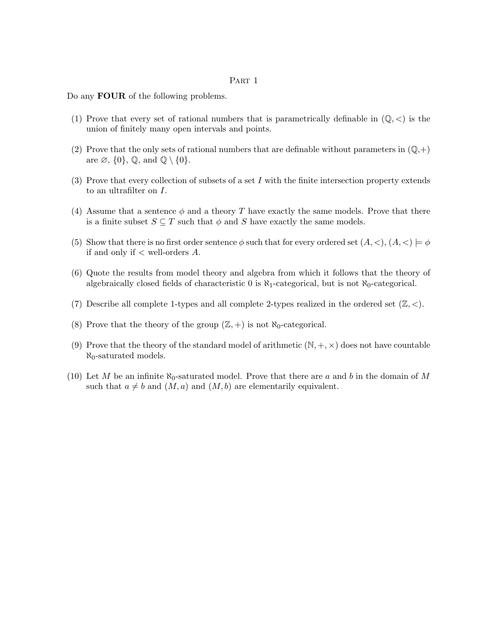## PART 1

Do any **FOUR** of the following problems.

- (1) Prove that every set of rational numbers that is parametrically definable in  $(\mathbb{Q}, \langle)$  is the union of finitely many open intervals and points.
- (2) Prove that the only sets of rational numbers that are definable without parameters in  $(\mathbb{Q},+)$ are  $\emptyset$ ,  $\{0\}$ ,  $\mathbb{Q}$ , and  $\mathbb{Q} \setminus \{0\}$ .
- (3) Prove that every collection of subsets of a set I with the finite intersection property extends to an ultrafilter on I.
- (4) Assume that a sentence  $\phi$  and a theory T have exactly the same models. Prove that there is a finite subset  $S \subseteq T$  such that  $\phi$  and S have exactly the same models.
- (5) Show that there is no first order sentence  $\phi$  such that for every ordered set  $(A, <), (A, <) \models \phi$ if and only if  $\lt$  well-orders  $A$ .
- (6) Quote the results from model theory and algebra from which it follows that the theory of algebraically closed fields of characteristic 0 is  $\aleph_1$ -categorical, but is not  $\aleph_0$ -categorical.
- (7) Describe all complete 1-types and all complete 2-types realized in the ordered set  $(\mathbb{Z}, \langle \cdot \rangle)$ .
- (8) Prove that the theory of the group  $(\mathbb{Z}, +)$  is not  $\aleph_0$ -categorical.
- (9) Prove that the theory of the standard model of arithmetic  $(N, +, \times)$  does not have countable  $\aleph_0$ -saturated models.
- (10) Let M be an infinite  $\aleph_0$ -saturated model. Prove that there are a and b in the domain of M such that  $a \neq b$  and  $(M, a)$  and  $(M, b)$  are elementarily equivalent.